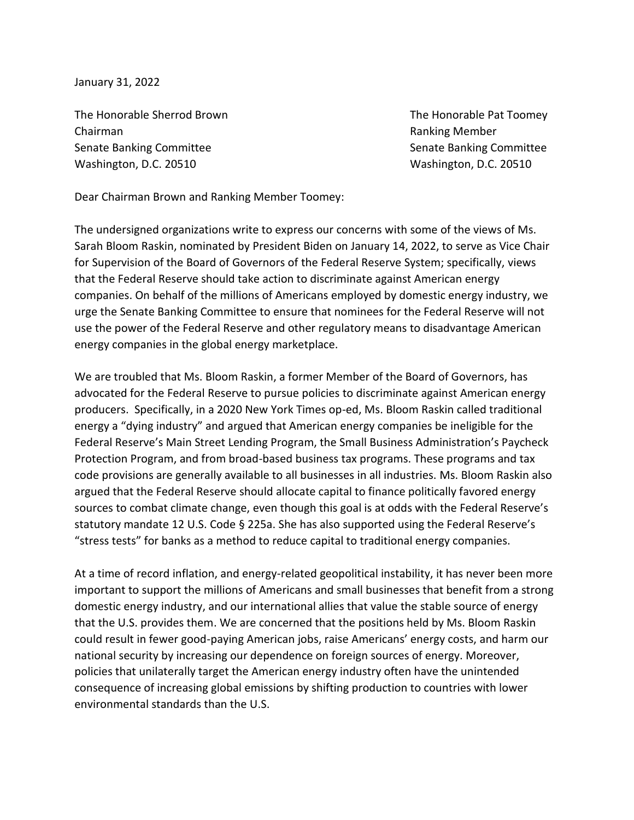January 31, 2022

The Honorable Sherrod Brown The Honorable Pat Toomey Chairman **Ranking Member** Chairman **Ranking Member** Senate Banking Committee Senate Banking Committee Washington, D.C. 20510 Washington, D.C. 20510

Dear Chairman Brown and Ranking Member Toomey:

The undersigned organizations write to express our concerns with some of the views of Ms. Sarah Bloom Raskin, nominated by President Biden on January 14, 2022, to serve as Vice Chair for Supervision of the Board of Governors of the Federal Reserve System; specifically, views that the Federal Reserve should take action to discriminate against American energy companies. On behalf of the millions of Americans employed by domestic energy industry, we urge the Senate Banking Committee to ensure that nominees for the Federal Reserve will not use the power of the Federal Reserve and other regulatory means to disadvantage American energy companies in the global energy marketplace.

We are troubled that Ms. Bloom Raskin, a former Member of the Board of Governors, has advocated for the Federal Reserve to pursue policies to discriminate against American energy producers. Specifically, in a 2020 New York Times op-ed, Ms. Bloom Raskin called traditional energy a "dying industry" and argued that American energy companies be ineligible for the Federal Reserve's Main Street Lending Program, the Small Business Administration's Paycheck Protection Program, and from broad-based business tax programs. These programs and tax code provisions are generally available to all businesses in all industries. Ms. Bloom Raskin also argued that the Federal Reserve should allocate capital to finance politically favored energy sources to combat climate change, even though this goal is at odds with the Federal Reserve's statutory mandate 12 U.S. Code § 225a. She has also supported using the Federal Reserve's "stress tests" for banks as a method to reduce capital to traditional energy companies.

At a time of record inflation, and energy-related geopolitical instability, it has never been more important to support the millions of Americans and small businesses that benefit from a strong domestic energy industry, and our international allies that value the stable source of energy that the U.S. provides them. We are concerned that the positions held by Ms. Bloom Raskin could result in fewer good-paying American jobs, raise Americans' energy costs, and harm our national security by increasing our dependence on foreign sources of energy. Moreover, policies that unilaterally target the American energy industry often have the unintended consequence of increasing global emissions by shifting production to countries with lower environmental standards than the U.S.